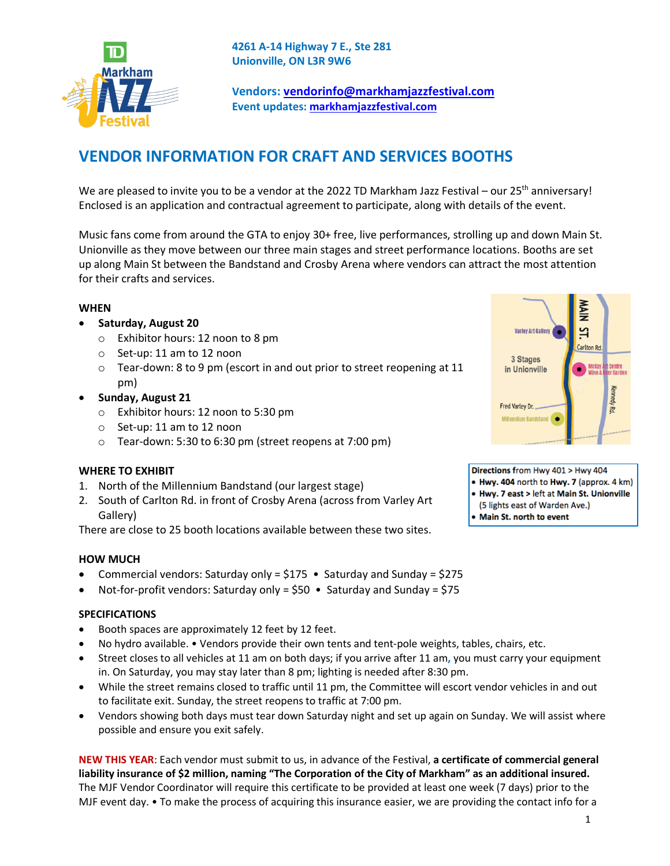

**4261 A-14 Highway 7 E., Ste 281 Unionville, ON L3R 9W6**

**Vendors: vendorinfo@markhamjazzfestival.com Event updates: markhamjazzfestival.com**

# **VENDOR INFORMATION FOR CRAFT AND SERVICES BOOTHS**

We are pleased to invite you to be a vendor at the 2022 TD Markham Jazz Festival – our 25<sup>th</sup> anniversary! Enclosed is an application and contractual agreement to participate, along with details of the event.

Music fans come from around the GTA to enjoy 30+ free, live performances, strolling up and down Main St. Unionville as they move between our three main stages and street performance locations. Booths are set up along Main St between the Bandstand and Crosby Arena where vendors can attract the most attention for their crafts and services.

#### **WHEN**

#### • **Saturday, August 20**

- o Exhibitor hours: 12 noon to 8 pm
- o Set-up: 11 am to 12 noon
- o Tear-down: 8 to 9 pm (escort in and out prior to street reopening at 11 pm)
- **Sunday, August 21**
	- o Exhibitor hours: 12 noon to 5:30 pm
	- o Set-up: 11 am to 12 noon
	- $\circ$  Tear-down: 5:30 to 6:30 pm (street reopens at 7:00 pm)

#### **WHERE TO EXHIBIT**

- 1. North of the Millennium Bandstand (our largest stage)
- 2. South of Carlton Rd. in front of Crosby Arena (across from Varley Art Gallery)

There are close to 25 booth locations available between these two sites.

#### **HOW MUCH**

- Commercial vendors: Saturday only =  $$175$  Saturday and Sunday =  $$275$
- Not-for-profit vendors: Saturday only = \$50 Saturday and Sunday = \$75

#### **SPECIFICATIONS**

- Booth spaces are approximately 12 feet by 12 feet.
- No hydro available. Vendors provide their own tents and tent-pole weights, tables, chairs, etc.
- Street closes to all vehicles at 11 am on both days; if you arrive after 11 am**,** you must carry your equipment in. On Saturday, you may stay later than 8 pm; lighting is needed after 8:30 pm.
- While the street remains closed to traffic until 11 pm, the Committee will escort vendor vehicles in and out to facilitate exit. Sunday, the street reopens to traffic at 7:00 pm.
- Vendors showing both days must tear down Saturday night and set up again on Sunday. We will assist where possible and ensure you exit safely.

**NEW THIS YEAR**: Each vendor must submit to us, in advance of the Festival, **a certificate of commercial general liability insurance of \$2 million, naming "The Corporation of the City of Markham" as an additional insured.** The MJF Vendor Coordinator will require this certificate to be provided at least one week (7 days) prior to the MJF event day. • To make the process of acquiring this insurance easier, we are providing the contact info for a



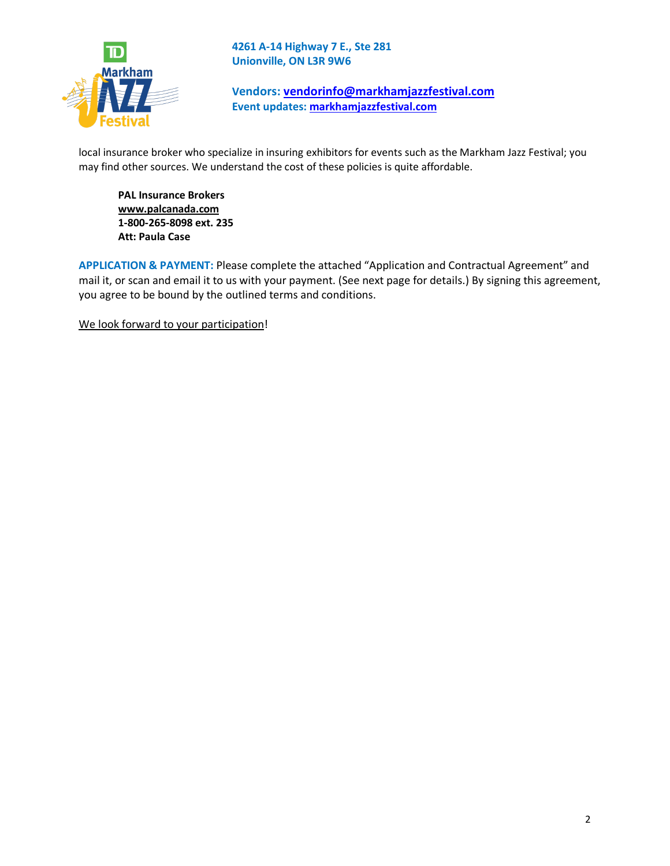

**4261 A-14 Highway 7 E., Ste 281 Unionville, ON L3R 9W6**

**Vendors: vendorinfo@markhamjazzfestival.com Event updates: markhamjazzfestival.com**

local insurance broker who specialize in insuring exhibitors for events such as the Markham Jazz Festival; you may find other sources. We understand the cost of these policies is quite affordable.

**PAL Insurance Brokers www.palcanada.com 1-800-265-8098 ext. 235 Att: Paula Case**

**APPLICATION & PAYMENT:** Please complete the attached "Application and Contractual Agreement" and mail it, or scan and email it to us with your payment. (See next page for details.) By signing this agreement, you agree to be bound by the outlined terms and conditions.

We look forward to your participation!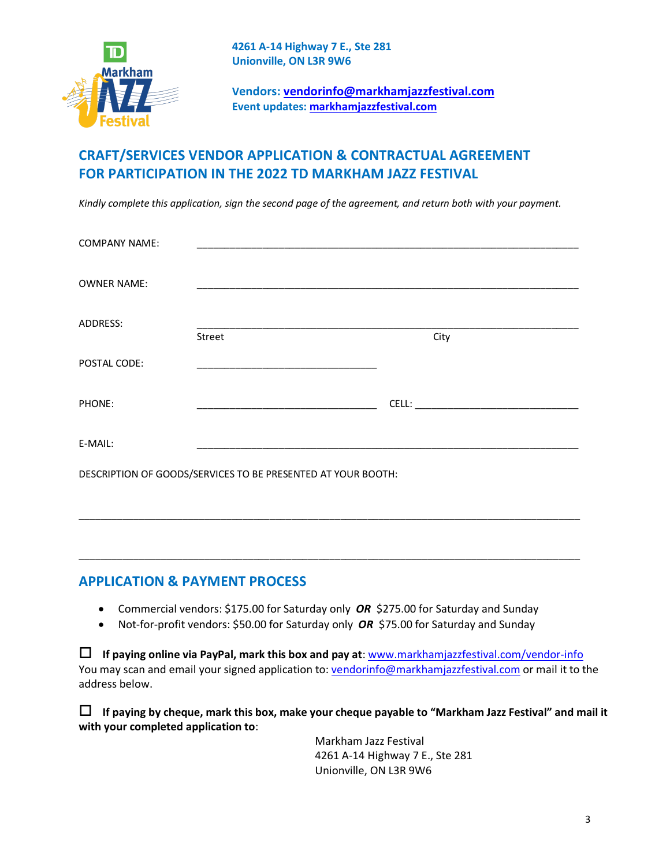

**Vendors: vendorinfo@markhamjazzfestival.com Event updates: markhamjazzfestival.com**

## **CRAFT/SERVICES VENDOR APPLICATION & CONTRACTUAL AGREEMENT FOR PARTICIPATION IN THE 2022 TD MARKHAM JAZZ FESTIVAL**

*Kindly complete this application, sign the second page of the agreement, and return both with your payment.*

| <b>COMPANY NAME:</b>                                         |        |      |  |
|--------------------------------------------------------------|--------|------|--|
| <b>OWNER NAME:</b>                                           |        |      |  |
| ADDRESS:                                                     |        |      |  |
|                                                              | Street | City |  |
| POSTAL CODE:                                                 |        |      |  |
| PHONE:                                                       |        |      |  |
| E-MAIL:                                                      |        |      |  |
| DESCRIPTION OF GOODS/SERVICES TO BE PRESENTED AT YOUR BOOTH: |        |      |  |
|                                                              |        |      |  |

### **APPLICATION & PAYMENT PROCESS**

• Commercial vendors: \$175.00 for Saturday only *OR* \$275.00 for Saturday and Sunday

\_\_\_\_\_\_\_\_\_\_\_\_\_\_\_\_\_\_\_\_\_\_\_\_\_\_\_\_\_\_\_\_\_\_\_\_\_\_\_\_\_\_\_\_\_\_\_\_\_\_\_\_\_\_\_\_\_\_\_\_\_\_\_\_\_\_\_\_\_\_\_\_\_\_\_\_\_\_\_\_\_\_\_\_\_\_\_\_\_\_\_\_

• Not-for-profit vendors: \$50.00 for Saturday only **OR** \$75.00 for Saturday and Sunday

o **If paying online via PayPal, mark this box and pay at**: www.markhamjazzfestival.com/vendor-info You may scan and email your signed application to: vendorinfo@markhamjazzfestival.com or mail it to the address below.

o **If paying by cheque, mark this box, make your cheque payable to "Markham Jazz Festival" and mail it with your completed application to**:

> Markham Jazz Festival 4261 A-14 Highway 7 E., Ste 281 Unionville, ON L3R 9W6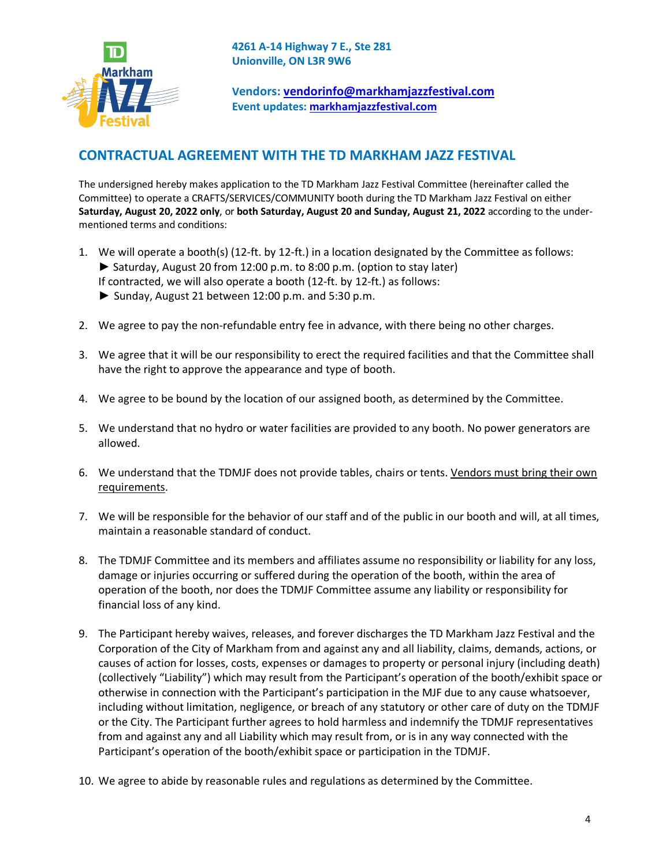

**Vendors: vendorinfo@markhamjazzfestival.com Event updates: markhamjazzfestival.com**

## **CONTRACTUAL AGREEMENT WITH THE TD MARKHAM JAZZ FESTIVAL**

The undersigned hereby makes application to the TD Markham Jazz Festival Committee (hereinafter called the Committee) to operate a CRAFTS/SERVICES/COMMUNITY booth during the TD Markham Jazz Festival on either **Saturday, August 20, 2022 only**, or **both Saturday, August 20 and Sunday, August 21, 2022** according to the undermentioned terms and conditions:

- 1. We will operate a booth(s) (12-ft. by 12-ft.) in a location designated by the Committee as follows: ► Saturday, August 20 from 12:00 p.m. to 8:00 p.m. (option to stay later) If contracted, we will also operate a booth (12-ft. by 12-ft.) as follows:
	- ► Sunday, August 21 between 12:00 p.m. and 5:30 p.m.
- 2. We agree to pay the non-refundable entry fee in advance, with there being no other charges.
- 3. We agree that it will be our responsibility to erect the required facilities and that the Committee shall have the right to approve the appearance and type of booth.
- 4. We agree to be bound by the location of our assigned booth, as determined by the Committee.
- 5. We understand that no hydro or water facilities are provided to any booth. No power generators are allowed.
- 6. We understand that the TDMJF does not provide tables, chairs or tents. Vendors must bring their own requirements.
- 7. We will be responsible for the behavior of our staff and of the public in our booth and will, at all times, maintain a reasonable standard of conduct.
- 8. The TDMJF Committee and its members and affiliates assume no responsibility or liability for any loss, damage or injuries occurring or suffered during the operation of the booth, within the area of operation of the booth, nor does the TDMJF Committee assume any liability or responsibility for financial loss of any kind.
- 9. The Participant hereby waives, releases, and forever discharges the TD Markham Jazz Festival and the Corporation of the City of Markham from and against any and all liability, claims, demands, actions, or causes of action for losses, costs, expenses or damages to property or personal injury (including death) (collectively "Liability") which may result from the Participant's operation of the booth/exhibit space or otherwise in connection with the Participant's participation in the MJF due to any cause whatsoever, including without limitation, negligence, or breach of any statutory or other care of duty on the TDMJF or the City. The Participant further agrees to hold harmless and indemnify the TDMJF representatives from and against any and all Liability which may result from, or is in any way connected with the Participant's operation of the booth/exhibit space or participation in the TDMJF.
- 10. We agree to abide by reasonable rules and regulations as determined by the Committee.